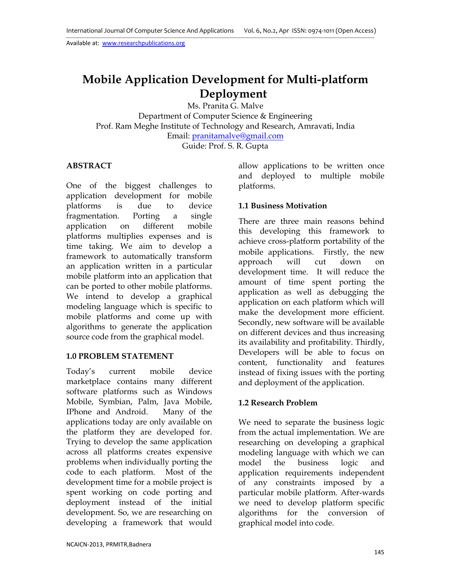# **Mobile Application Development for Multi-platform Deployment**

Ms. Pranita G. Malve Department of Computer Science & Engineering Prof. Ram Meghe Institute of Technology and Research, Amravati, India Email: pranitamalve@gmail.com Guide: Prof. S. R. Gupta

## **ABSTRACT**

One of the biggest challenges to application development for mobile platforms is due to device fragmentation. Porting a single application on different mobile platforms multiplies expenses and is time taking. We aim to develop a framework to automatically transform an application written in a particular mobile platform into an application that can be ported to other mobile platforms. We intend to develop a graphical modeling language which is specific to mobile platforms and come up with algorithms to generate the application source code from the graphical model.

# **1.0 PROBLEM STATEMENT**

Today's current mobile device marketplace contains many different software platforms such as Windows Mobile, Symbian, Palm, Java Mobile, IPhone and Android. Many of the applications today are only available on the platform they are developed for. Trying to develop the same application across all platforms creates expensive problems when individually porting the code to each platform. Most of the development time for a mobile project is spent working on code porting and deployment instead of the initial development. So, we are researching on developing a framework that would

allow applications to be written once and deployed to multiple mobile platforms.

## **1.1 Business Motivation**

There are three main reasons behind this developing this framework to achieve cross-platform portability of the mobile applications. Firstly, the new approach will cut down on development time. It will reduce the amount of time spent porting the application as well as debugging the application on each platform which will make the development more efficient. Secondly, new software will be available on different devices and thus increasing its availability and profitability. Thirdly, Developers will be able to focus on content, functionality and features instead of fixing issues with the porting and deployment of the application.

## **1.2 Research Problem**

We need to separate the business logic from the actual implementation. We are researching on developing a graphical modeling language with which we can model the business logic and application requirements independent of any constraints imposed by a particular mobile platform. After-wards we need to develop platform specific algorithms for the conversion of graphical model into code.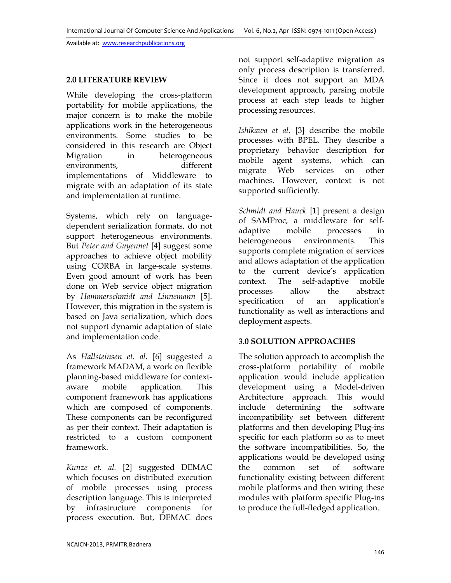## **2.0 LITERATURE REVIEW**

While developing the cross-platform portability for mobile applications, the major concern is to make the mobile applications work in the heterogeneous environments. Some studies to be considered in this research are Object Migration in heterogeneous environments, different implementations of Middleware to migrate with an adaptation of its state and implementation at runtime.

Systems, which rely on languagedependent serialization formats, do not support heterogeneous environments. But *Peter and Guyennet* [4] suggest some approaches to achieve object mobility using CORBA in large-scale systems. Even good amount of work has been done on Web service object migration by *Hammerschmidt and Linnemann* [5]. However, this migration in the system is based on Java serialization, which does not support dynamic adaptation of state and implementation code.

As *Hallsteinsen et. al.* [6] suggested a framework MADAM, a work on flexible planning-based middleware for contextaware mobile application. This component framework has applications which are composed of components. These components can be reconfigured as per their context. Their adaptation is restricted to a custom component framework.

*Kunze et. al.* [2] suggested DEMAC which focuses on distributed execution of mobile processes using process description language. This is interpreted by infrastructure components for process execution. But, DEMAC does

not support self-adaptive migration as only process description is transferred. Since it does not support an MDA development approach, parsing mobile process at each step leads to higher processing resources.

*Ishikawa et al.* [3] describe the mobile processes with BPEL. They describe a proprietary behavior description for mobile agent systems, which can migrate Web services on other machines. However, context is not supported sufficiently.

*Schmidt and Hauck* [1] present a design of SAMProc, a middleware for selfadaptive mobile processes in heterogeneous environments. This supports complete migration of services and allows adaptation of the application to the current device's application context. The self-adaptive mobile processes allow the abstract specification of an application's functionality as well as interactions and deployment aspects.

## **3.0 SOLUTION APPROACHES**

The solution approach to accomplish the cross-platform portability of mobile application would include application development using a Model-driven Architecture approach. This would include determining the software incompatibility set between different platforms and then developing Plug-ins specific for each platform so as to meet the software incompatibilities. So, the applications would be developed using the common set of software functionality existing between different mobile platforms and then wiring these modules with platform specific Plug-ins to produce the full-fledged application.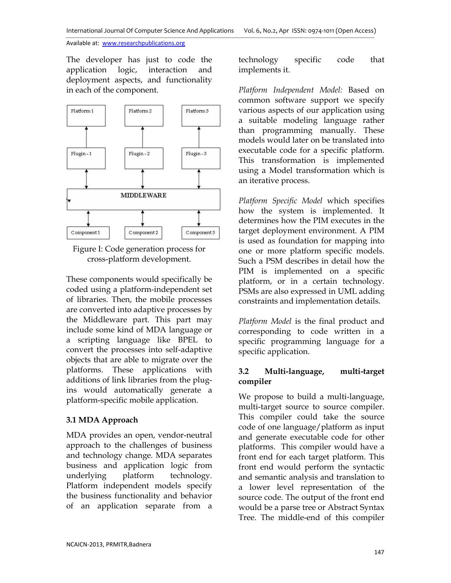The developer has just to code the application logic, interaction and deployment aspects, and functionality in each of the component.





These components would specifically be coded using a platform-independent set of libraries. Then, the mobile processes are converted into adaptive processes by the Middleware part. This part may include some kind of MDA language or a scripting language like BPEL to convert the processes into self-adaptive objects that are able to migrate over the platforms. These applications with additions of link libraries from the plugins would automatically generate a platform-specific mobile application.

#### **3.1 MDA Approach**

MDA provides an open, vendor-neutral approach to the challenges of business and technology change. MDA separates business and application logic from underlying platform technology. Platform independent models specify the business functionality and behavior of an application separate from a

technology specific code that implements it.

*Platform Independent Model:* Based on common software support we specify various aspects of our application using a suitable modeling language rather than programming manually. These models would later on be translated into executable code for a specific platform. This transformation is implemented using a Model transformation which is an iterative process.

*Platform Specific Model* which specifies how the system is implemented. It determines how the PIM executes in the target deployment environment. A PIM is used as foundation for mapping into one or more platform specific models. Such a PSM describes in detail how the PIM is implemented on a specific platform, or in a certain technology. PSMs are also expressed in UML adding constraints and implementation details.

*Platform Model* is the final product and corresponding to code written in a specific programming language for a specific application.

## **3.2 Multi-language, multi-target compiler**

We propose to build a multi-language, multi-target source to source compiler. This compiler could take the source code of one language/platform as input and generate executable code for other platforms. This compiler would have a front end for each target platform. This front end would perform the syntactic and semantic analysis and translation to a lower level representation of the source code. The output of the front end would be a parse tree or Abstract Syntax Tree. The middle-end of this compiler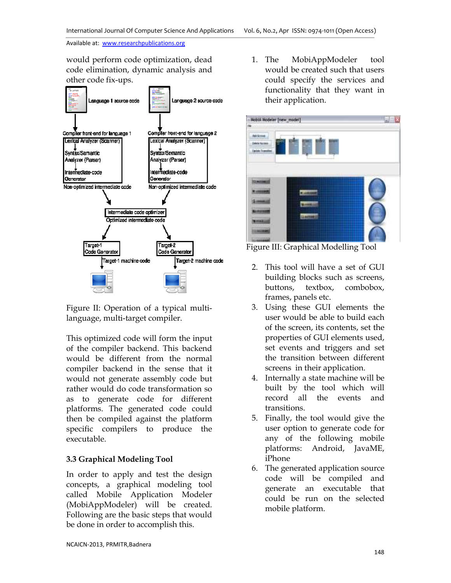would perform code optimization, dead code elimination, dynamic analysis and other code fix-ups.



Figure II: Operation of a typical multilanguage, multi-target compiler.

This optimized code will form the input of the compiler backend. This backend would be different from the normal compiler backend in the sense that it would not generate assembly code but rather would do code transformation so as to generate code for different platforms. The generated code could then be compiled against the platform specific compilers to produce the executable.

# **3.3 Graphical Modeling Tool**

In order to apply and test the design concepts, a graphical modeling tool called Mobile Application Modeler (MobiAppModeler) will be created. Following are the basic steps that would be done in order to accomplish this.

1. The MobiAppModeler tool would be created such that users could specify the services and functionality that they want in their application.



Figure III: Graphical Modelling Tool

- 2. This tool will have a set of GUI building blocks such as screens, buttons, textbox, combobox, frames, panels etc.
- 3. Using these GUI elements the user would be able to build each of the screen, its contents, set the properties of GUI elements used, set events and triggers and set the transition between different screens in their application.
- 4. Internally a state machine will be built by the tool which will record all the events and transitions.
- 5. Finally, the tool would give the user option to generate code for any of the following mobile platforms: Android, JavaME, iPhone
- 6. The generated application source code will be compiled and generate an executable that could be run on the selected mobile platform.